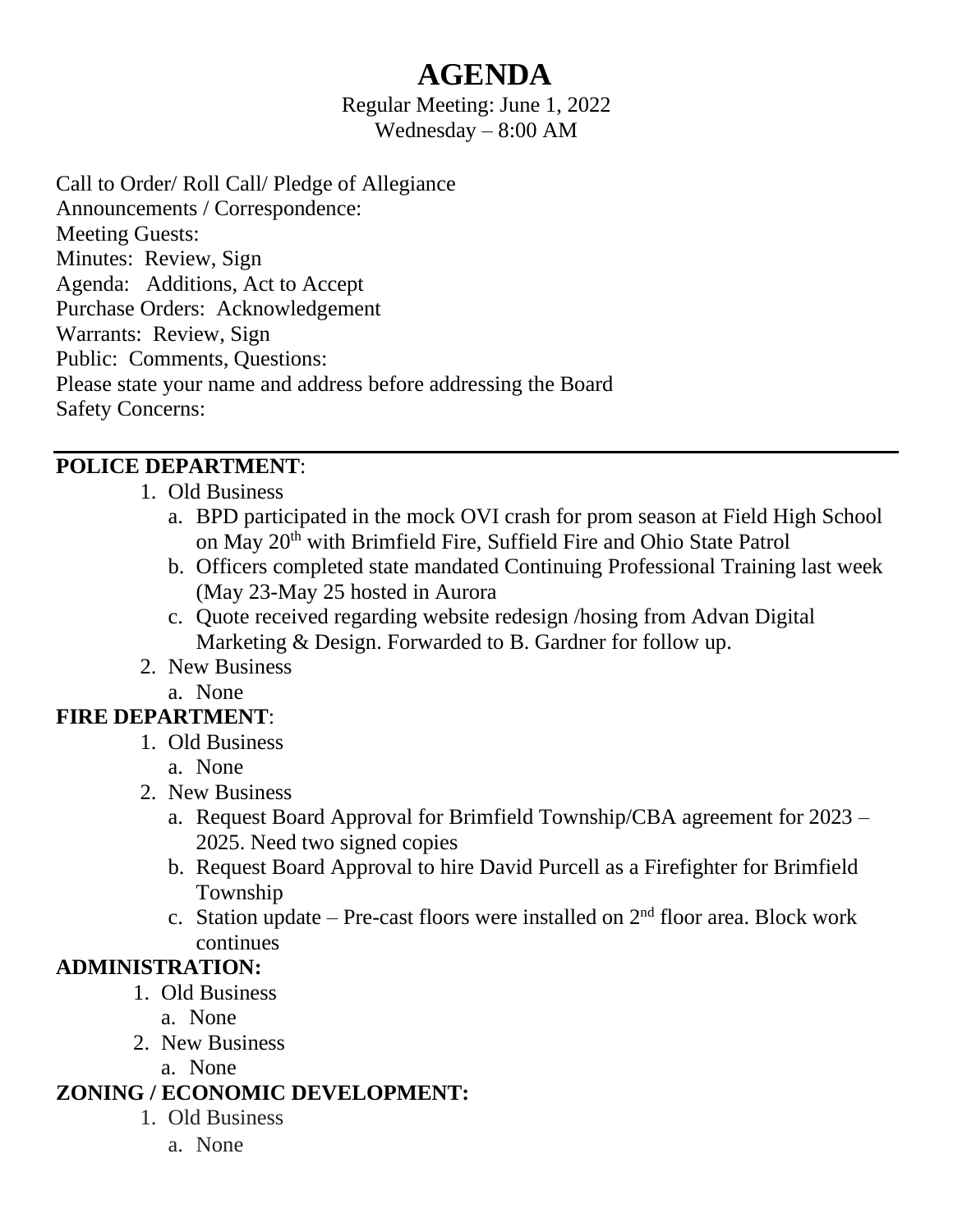# **AGENDA**

Regular Meeting: June 1, 2022 Wednesday – 8:00 AM

Call to Order/ Roll Call/ Pledge of Allegiance Announcements / Correspondence: Meeting Guests: Minutes: Review, Sign Agenda: Additions, Act to Accept Purchase Orders: Acknowledgement Warrants: Review, Sign Public: Comments, Questions: Please state your name and address before addressing the Board Safety Concerns:

#### **POLICE DEPARTMENT**:

- 1. Old Business
	- a. BPD participated in the mock OVI crash for prom season at Field High School on May 20<sup>th</sup> with Brimfield Fire, Suffield Fire and Ohio State Patrol
	- b. Officers completed state mandated Continuing Professional Training last week (May 23-May 25 hosted in Aurora
	- c. Quote received regarding website redesign /hosing from Advan Digital Marketing & Design. Forwarded to B. Gardner for follow up.
- 2. New Business
	- a. None

# **FIRE DEPARTMENT**:

- 1. Old Business
	- a. None
- 2. New Business
	- a. Request Board Approval for Brimfield Township/CBA agreement for 2023 2025. Need two signed copies
	- b. Request Board Approval to hire David Purcell as a Firefighter for Brimfield Township
	- c. Station update Pre-cast floors were installed on  $2<sup>nd</sup>$  floor area. Block work continues

#### **ADMINISTRATION:**

- 1. Old Business
	- a. None
- 2. New Business
	- a. None

# **ZONING / ECONOMIC DEVELOPMENT:**

- 1. Old Business
	- a. None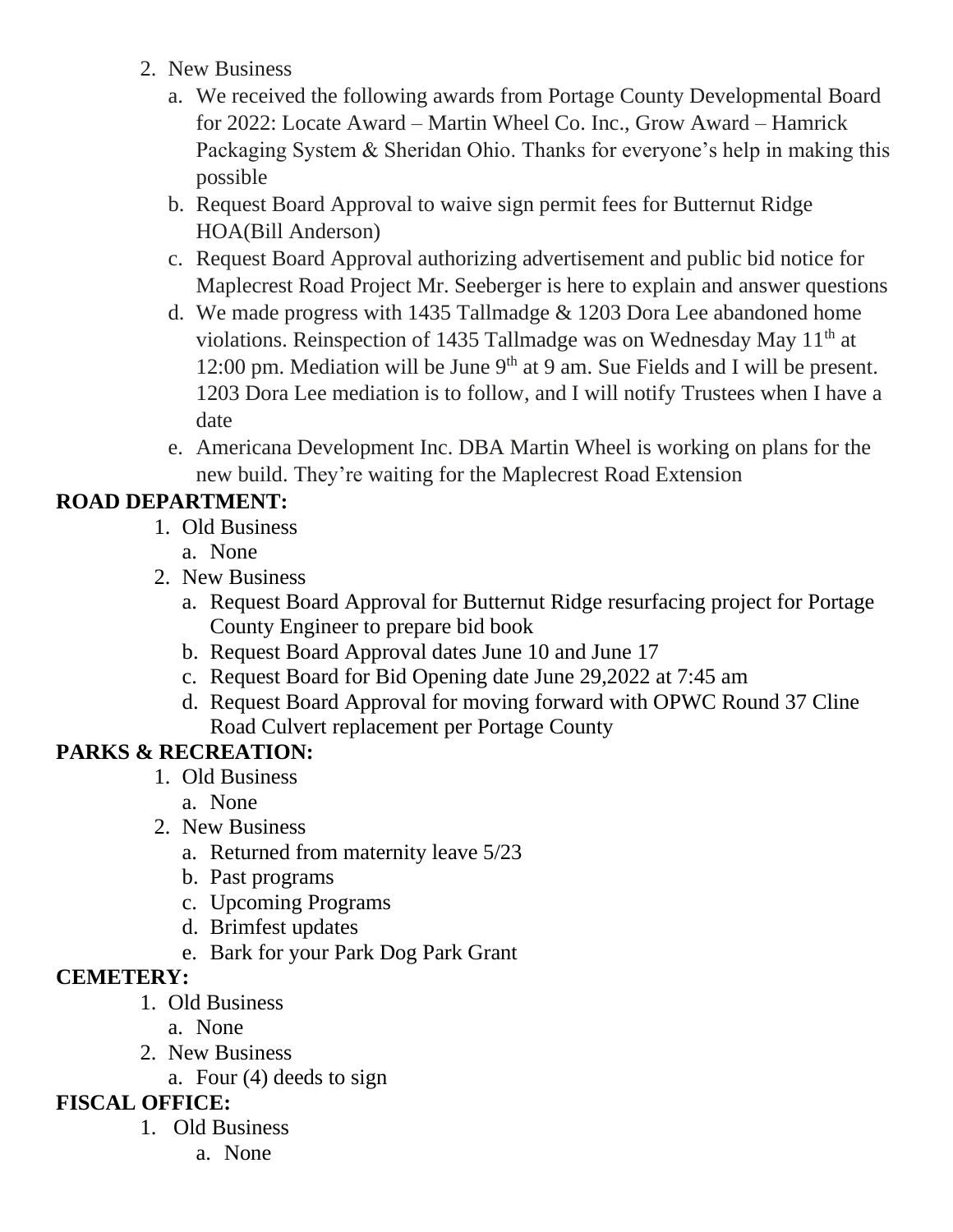- 2. New Business
	- a. We received the following awards from Portage County Developmental Board for 2022: Locate Award – Martin Wheel Co. Inc., Grow Award – Hamrick Packaging System & Sheridan Ohio. Thanks for everyone's help in making this possible
	- b. Request Board Approval to waive sign permit fees for Butternut Ridge HOA(Bill Anderson)
	- c. Request Board Approval authorizing advertisement and public bid notice for Maplecrest Road Project Mr. Seeberger is here to explain and answer questions
	- d. We made progress with 1435 Tallmadge & 1203 Dora Lee abandoned home violations. Reinspection of 1435 Tallmadge was on Wednesday May 11<sup>th</sup> at 12:00 pm. Mediation will be June  $9<sup>th</sup>$  at 9 am. Sue Fields and I will be present. 1203 Dora Lee mediation is to follow, and I will notify Trustees when I have a date
	- e. Americana Development Inc. DBA Martin Wheel is working on plans for the new build. They're waiting for the Maplecrest Road Extension

### **ROAD DEPARTMENT:**

- 1. Old Business
	- a. None
- 2. New Business
	- a. Request Board Approval for Butternut Ridge resurfacing project for Portage County Engineer to prepare bid book
	- b. Request Board Approval dates June 10 and June 17
	- c. Request Board for Bid Opening date June 29,2022 at 7:45 am
	- d. Request Board Approval for moving forward with OPWC Round 37 Cline Road Culvert replacement per Portage County

# **PARKS & RECREATION:**

- 1. Old Business
	- a. None
- 2. New Business
	- a. Returned from maternity leave 5/23
	- b. Past programs
	- c. Upcoming Programs
	- d. Brimfest updates
	- e. Bark for your Park Dog Park Grant

#### **CEMETERY:**

- 1. Old Business
	- a. None
- 2. New Business
	- a. Four (4) deeds to sign

# **FISCAL OFFICE:**

- 1. Old Business
	- a. None